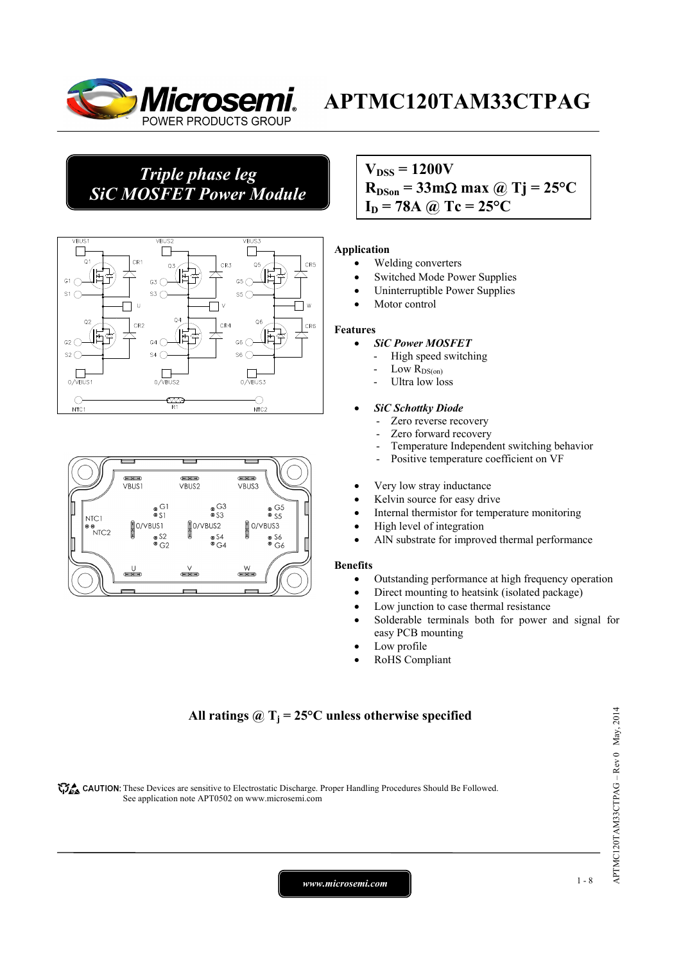

## *Triple phase leg SiC MOSFET Power Module*





### $V_{\text{DSS}} = 1200V$  $R_{DSon} = 33 \text{ mA}$  max @ Tj = 25<sup>o</sup>C  $I_D = 78A$  *(a)*  $Tc = 25^{\circ}C$

### **Application**

- Welding converters
- Switched Mode Power Supplies
- Uninterruptible Power Supplies
- Motor control

### **Features**

- *SiC Power MOSFET*
	- High speed switching
	- Low  $R_{DS(on)}$
	- Ultra low loss

### • *SiC Schottky Diode*

- Zero reverse recovery
- Zero forward recovery
- Temperature Independent switching behavior
- Positive temperature coefficient on VF
- Very low stray inductance
- Kelvin source for easy drive
- Internal thermistor for temperature monitoring
- High level of integration
- AlN substrate for improved thermal performance

### **Benefits**

- Outstanding performance at high frequency operation
- Direct mounting to heatsink (isolated package)
- Low junction to case thermal resistance
- Solderable terminals both for power and signal for easy PCB mounting
- Low profile
- RoHS Compliant

### All ratings  $\omega_{\text{I}} = 25^{\circ}\text{C}$  unless otherwise specified

CAUTION: These Devices are sensitive to Electrostatic Discharge. Proper Handling Procedures Should Be Followed. See application note APT0502 on www.microsemi.com

*www.microsemi.com* 1-8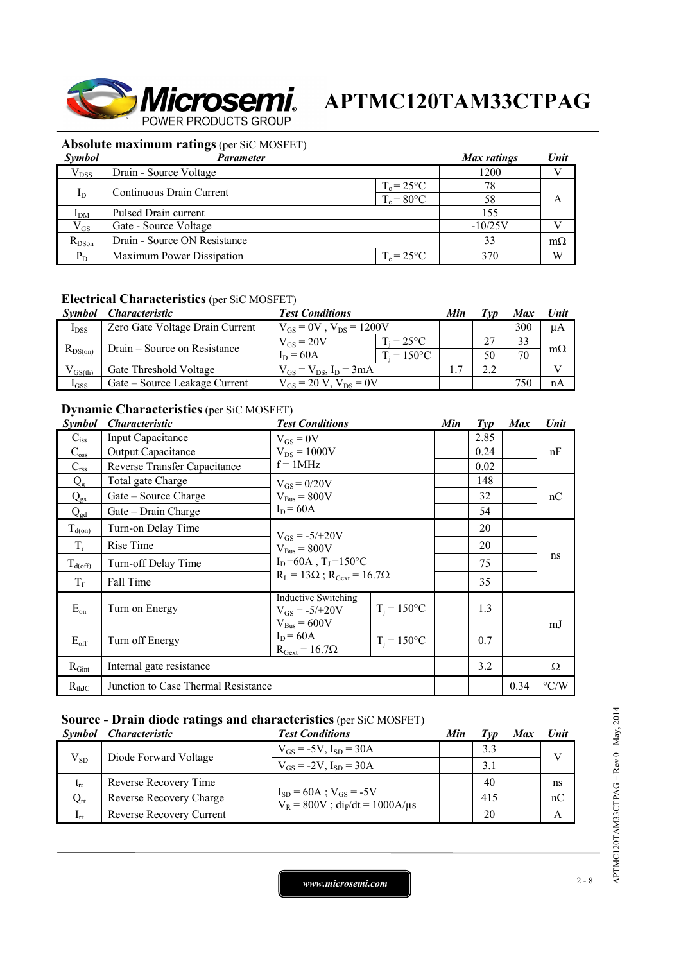

### **Absolute maximum ratings** (per SiC MOSFET)

| Symbol          | Parameter                    |                      | Max ratings | Unit      |
|-----------------|------------------------------|----------------------|-------------|-----------|
| $V_{DSS}$       | Drain - Source Voltage       |                      | 1200        |           |
| $I_D$           | Continuous Drain Current     | $T_c = 25^{\circ}C$  | 78          |           |
|                 |                              | $T_c = 80^{\circ}$ C | 58          | А         |
| I <sub>DM</sub> | Pulsed Drain current         |                      | 155         |           |
| $\rm V_{GS}$    | Gate - Source Voltage        |                      | $-10/25V$   |           |
| $R_{DSon}$      | Drain - Source ON Resistance |                      | 33          | $m\Omega$ |
| $P_D$           | Maximum Power Dissipation    | $T_c = 25^{\circ}C$  | 370         | W         |

### **Electrical Characteristics** (per SiC MOSFET)

| <i>Symbol</i> | <i><b>Characteristic</b></i>    | <b>Test Conditions</b>           |                      | Min | Tvn | <b>Max</b> | Unit      |
|---------------|---------------------------------|----------------------------------|----------------------|-----|-----|------------|-----------|
| $I_{DSS}$     | Zero Gate Voltage Drain Current | $V_{GS} = 0V$ , $V_{DS} = 1200V$ |                      |     |     | 300        | μA        |
| $R_{DS(on)}$  | Drain – Source on Resistance    | $V_{GS}$ = 20V                   | $T_i = 25^{\circ}C$  |     | 27  | 33         |           |
|               |                                 | $I_D = 60A$                      | $T_i = 150^{\circ}C$ |     | 50  | 70         | $m\Omega$ |
| $V_{GS(th)}$  | Gate Threshold Voltage          | $V_{GS} = V_{DS}$ , $I_D = 3mA$  |                      |     | 2.2 |            |           |
| $I_{GSS}$     | Gate – Source Leakage Current   | $V_{GS} = 20 V$ , $V_{DS} = 0V$  |                      |     |     | 750        | nA        |

### **Dynamic Characteristics** (per SiC MOSFET)

| Symbol                    | <i><b>Characteristic</b></i>        | <b>Test Conditions</b>                                                       |                | Min | $\mathcal{I}yp$ | <b>Max</b> | Unit               |
|---------------------------|-------------------------------------|------------------------------------------------------------------------------|----------------|-----|-----------------|------------|--------------------|
| $\mathbf{C}_{\text{iss}}$ | <b>Input Capacitance</b>            | $V_{GS} = 0V$                                                                |                |     | 2.85            |            |                    |
| $C_{\rm oss}$             | Output Capacitance                  | $V_{DS} = 1000V$                                                             |                |     | 0.24            |            | nF                 |
| $C_{\rm rss}$             | Reverse Transfer Capacitance        | $f = 1MHz$                                                                   |                |     | 0.02            |            |                    |
| $Q_{\rm g}$               | Total gate Charge                   | $V_{GS} = 0/20V$                                                             |                |     | 148             |            | nC                 |
| $Q_{gs}$                  | Gate – Source Charge                | $V_{Bus} = 800V$                                                             |                |     | 32              |            |                    |
| $Q_{gd}$                  | Gate – Drain Charge                 | $I_D = 60A$                                                                  |                |     | 54              |            |                    |
| $T_{d(on)}$               | Turn-on Delay Time                  | $V_{GS} = -5/+20V$<br>$V_{Bus} = 800V$<br>$I_D = 60A$ , $T_I = 150^{\circ}C$ |                |     | 20              |            |                    |
| $T_r$                     | Rise Time                           |                                                                              |                |     | 20              |            | ns                 |
| $T_{d(off)}$              | Turn-off Delay Time                 |                                                                              |                |     | 75              |            |                    |
| $T_f$                     | Fall Time                           | $R_L = 13\Omega$ ; $R_{Gext} = 16.7\Omega$                                   |                |     | 35              |            |                    |
| $E_{on}$                  | Turn on Energy                      | <b>Inductive Switching</b><br>$V_{GS} = -5/+20V$<br>$V_{\text{Bus}} = 600V$  | $T_i = 150$ °C |     | 1.3             |            | mJ                 |
| $E_{\rm off}$             | Turn off Energy                     | $I_D = 60A$<br>$R_{\text{Gext}} = 16.7\Omega$                                | $T_i = 150$ °C |     | 0.7             |            |                    |
| $R_{Gint}$                | Internal gate resistance            |                                                                              |                |     | 3.2             |            | Ω                  |
| $R_{thJC}$                | Junction to Case Thermal Resistance |                                                                              |                |     |                 | 0.34       | $\rm ^{\circ} C/W$ |

### **Source - Drain diode ratings and characteristics** (per SiC MOSFET)

| <i>Symbol</i>   | <i>Characteristic</i>    | <b>Test Conditions</b>                                                    | Min | Tvp | Max | Unit         |
|-----------------|--------------------------|---------------------------------------------------------------------------|-----|-----|-----|--------------|
| $V_{SD}$        | Diode Forward Voltage    | $V_{GS} = -5V$ , $I_{SD} = 30A$                                           |     | 3.3 |     | $\mathbf{V}$ |
|                 |                          | $V_{GS} = -2V$ , $I_{SD} = 30A$                                           |     | 3.1 |     |              |
| $t_{rr}$        | Reverse Recovery Time    | $I_{SD} = 60A$ ; $V_{GS} = -5V$<br>$V_R = 800V$ ; $di_F/dt = 1000A/\mu s$ |     | 40  |     | ns           |
| $Q_{rr}$        | Reverse Recovery Charge  |                                                                           |     | 415 |     | nC           |
| 1 <sub>rr</sub> | Reverse Recovery Current |                                                                           |     | 20  |     |              |

APTMC120TAM33CTPAG-Rev 0 May, 2014 APTMC120TAM33CTPAG – Rev 0 May, 2014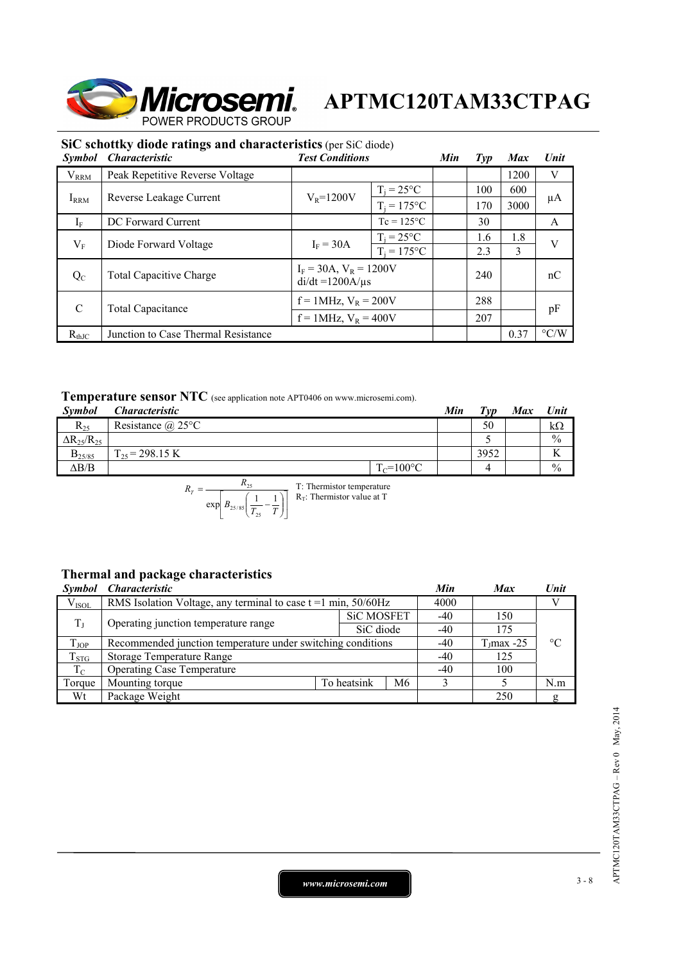

|                      | SiC schottky diode ratings and characteristics (per SiC diode) |                           |                                                      |     |                |            |                    |
|----------------------|----------------------------------------------------------------|---------------------------|------------------------------------------------------|-----|----------------|------------|--------------------|
| <i><b>Symbol</b></i> | <i><b>Characteristic</b></i>                                   | <b>Test Conditions</b>    |                                                      | Min | $\mathit{Typ}$ | <b>Max</b> | <b>Unit</b>        |
| $V_{RRM}$            | Peak Repetitive Reverse Voltage                                |                           |                                                      |     |                | 1200       | V                  |
|                      |                                                                |                           | $T_i = 25^{\circ}C$                                  |     | 100            | 600        |                    |
| $I_{RRM}$            | Reverse Leakage Current                                        | $V_R = 1200V$             | $T_i = 175$ °C                                       |     | 170            | 3000       | μA                 |
| $I_F$                | DC Forward Current                                             |                           | $Tc = 125^{\circ}C$                                  |     | 30             |            | A                  |
|                      | Diode Forward Voltage                                          | $I_F = 30A$               | $T_i = 25^{\circ}C$                                  |     | 1.6            | 1.8        | V                  |
| $V_{\rm F}$          |                                                                |                           | $T_i = 175$ °C                                       |     | 2.3            | 3          |                    |
| $Q_{C}$              | <b>Total Capacitive Charge</b>                                 |                           | $I_F = 30A$ , $V_R = 1200V$<br>$di/dt = 1200A/\mu s$ |     | 240            |            | nC                 |
|                      | Total Capacitance                                              | $f = 1$ MHz, $V_R = 200V$ |                                                      |     | 288            |            |                    |
| $\mathcal{C}$        |                                                                |                           | $f = 1$ MHz, $V_R = 400V$                            |     | 207            |            | pF                 |
| $R_{\text{th}T}$     | Junction to Case Thermal Resistance                            |                           |                                                      |     |                | 0.37       | $\rm ^{\circ} C/W$ |

 $R<sub>thJC</sub>$  Junction to Case Thermal Resistance 0.37

### **Temperature sensor NTC** (see application note APT0406 on www.microsemi.com).

| <b>Symbol</b>          | <i>Characteristic</i>    |                | Min | $T_{VD}$ | Max | Unit          |
|------------------------|--------------------------|----------------|-----|----------|-----|---------------|
| $R_{25}$               | Resistance $\omega$ 25°C |                |     | 50       |     | kΩ            |
| $\Delta R_{25}/R_{25}$ |                          |                |     |          |     | $\frac{0}{0}$ |
| $B_{25/85}$            | $\Gamma_{25}$ = 298.15 K |                |     | 3952     |     | <b>Y</b>      |
| $\Delta B/B$           |                          | $T_c = 100$ °C |     |          |     | $\frac{0}{0}$ |

$$
R_T = \frac{R_{25}}{\exp\left[B_{25/85}\left(\frac{1}{T_{25}} - \frac{1}{T}\right)\right]}
$$
 T: Thermistor temperature

### **Thermal and package characteristics**

| <i>Symbol</i> | <i><b>Characteristic</b></i>                                     |             |                   | Min | <b>Max</b>      | Unit            |
|---------------|------------------------------------------------------------------|-------------|-------------------|-----|-----------------|-----------------|
| $V_{ISOL}$    | RMS Isolation Voltage, any terminal to case $t = 1$ min, 50/60Hz |             |                   |     |                 | V               |
| $T_{\rm J}$   | Operating junction temperature range                             |             | <b>SiC MOSFET</b> | -40 | 150             |                 |
|               |                                                                  |             | SiC diode         | -40 | 175             |                 |
| $T_{JOP}$     | Recommended junction temperature under switching conditions      |             |                   |     | $T_{J}$ max -25 | $\rm ^{\circ}C$ |
| $T_{STG}$     | Storage Temperature Range                                        |             |                   |     | 125             |                 |
| $T_C$         | <b>Operating Case Temperature</b>                                | -40         | 100               |     |                 |                 |
| Torque        | Mounting torque                                                  | To heatsink | M6                |     |                 | N.m             |
| Wt            | Package Weight                                                   |             |                   |     | 250             | ջ               |

*www.microsemi.com* 3-8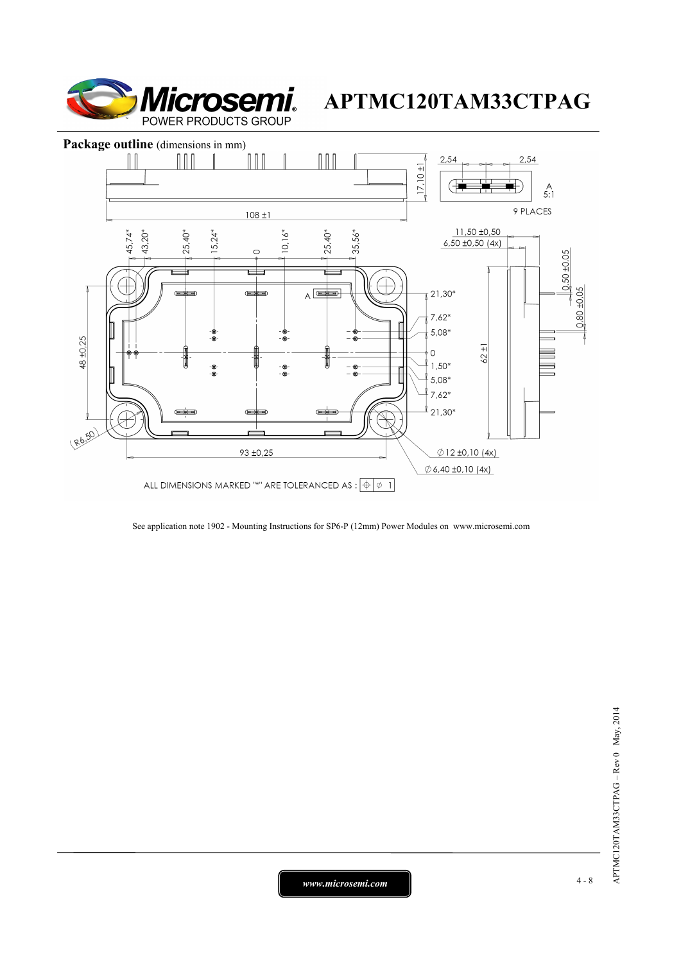



See application note 1902 - Mounting Instructions for SP6-P (12mm) Power Modules on www.microsemi.com

*www.microsemi.com* 4-8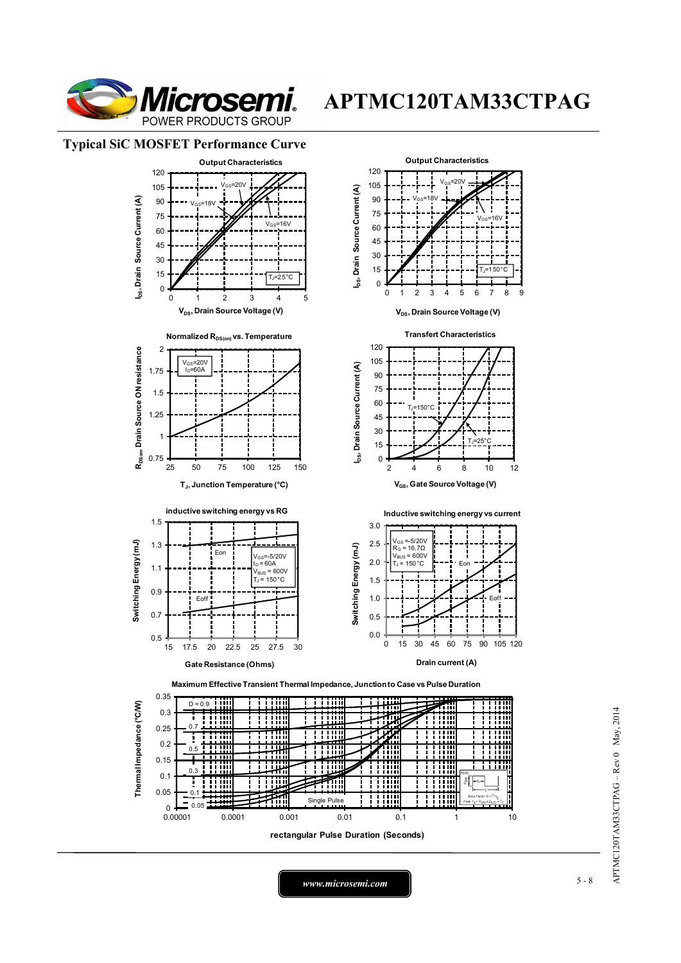

### **Typical SiC MOSFET Performance Curve**



*www.microsemi.com* 5-8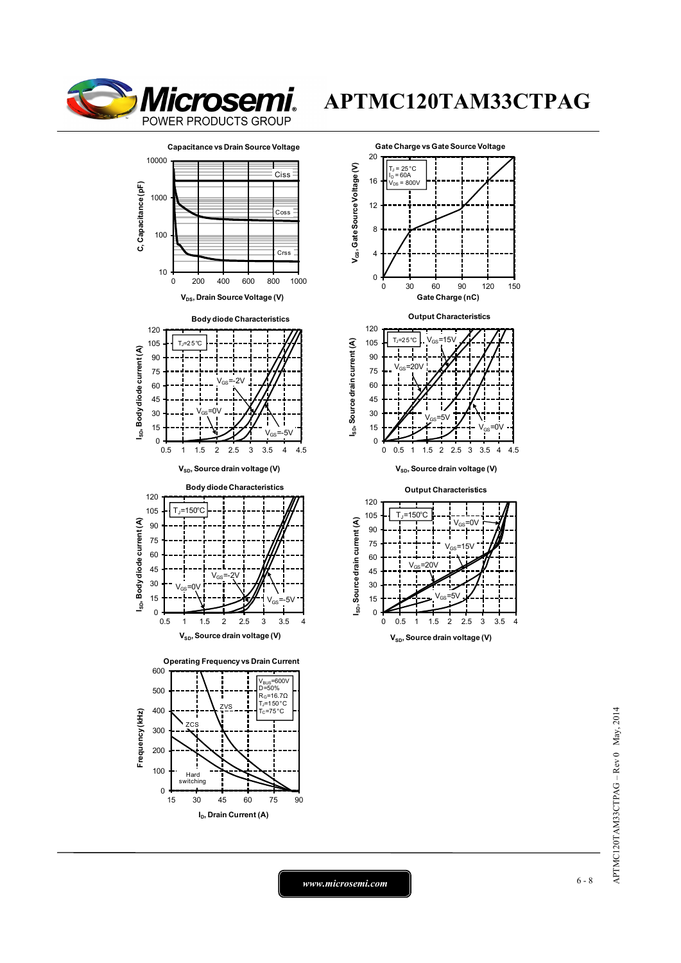











15 30 45 60 75 90

**I<sub>D</sub>**, Drain Current (A)

Hard switching

0 100





 $V_{SD}$ , Source drain voltage (V)

**Output Characteristics**



APTMC120TAM33CTPAG-Rev 0 May, 2014 APTMC120TAM33CTPAG – Rev 0 May, 2014

*www.microsemi.com* 6-8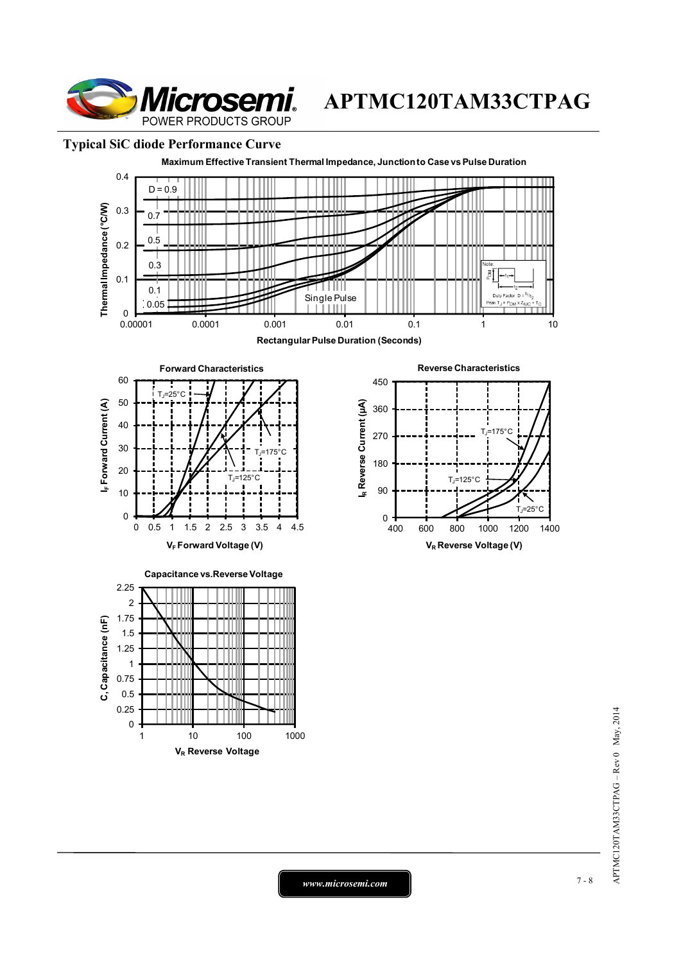

### **Typical SiC diode Performance Curve**



*www.microsemi.com* 7-8